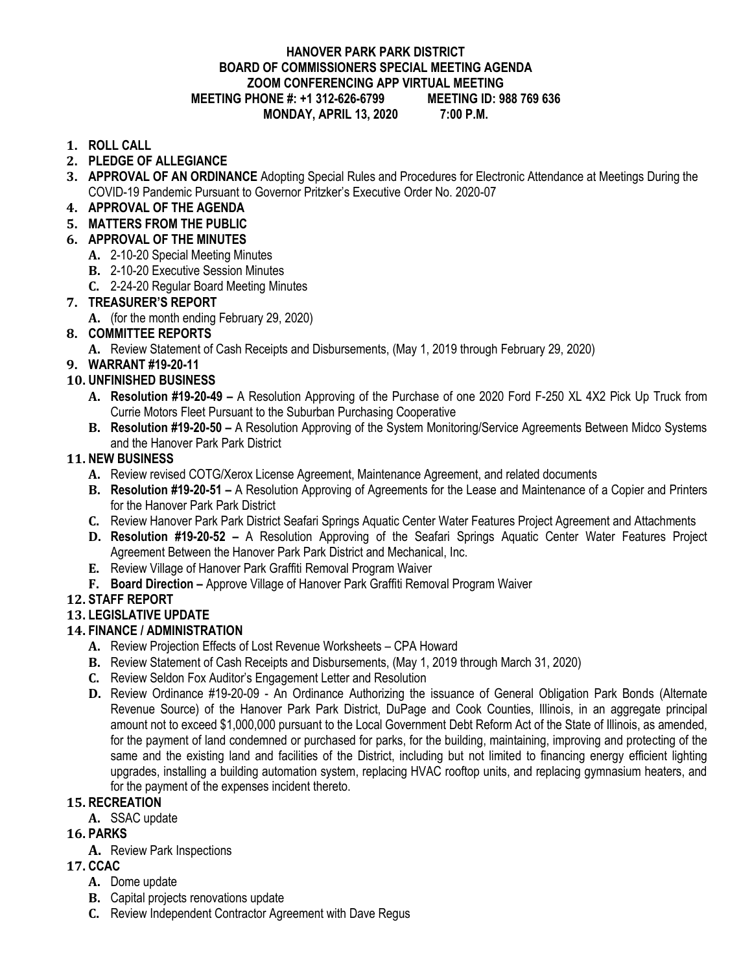#### **HANOVER PARK PARK DISTRICT BOARD OF COMMISSIONERS SPECIAL MEETING AGENDA ZOOM CONFERENCING APP VIRTUAL MEETING MEETING PHONE #: +1 312-626-6799 MONDAY, APRIL 13, 2020 7:00 P.M.**

#### **1. ROLL CALL**

- **2. PLEDGE OF ALLEGIANCE**
- **3. APPROVAL OF AN ORDINANCE** Adopting Special Rules and Procedures for Electronic Attendance at Meetings During the COVID-19 Pandemic Pursuant to Governor Pritzker's Executive Order No. 2020-07
- **4. APPROVAL OF THE AGENDA**
- **5. MATTERS FROM THE PUBLIC**
- **6. APPROVAL OF THE MINUTES**
	- **A.** 2-10-20 Special Meeting Minutes
	- **B.** 2-10-20 Executive Session Minutes
	- **C.** 2-24-20 Regular Board Meeting Minutes

## **7. TREASURER'S REPORT**

**A.** (for the month ending February 29, 2020)

## **8. COMMITTEE REPORTS**

**A.** Review Statement of Cash Receipts and Disbursements, (May 1, 2019 through February 29, 2020)

## **9. WARRANT #19-20-11**

- **10. UNFINISHED BUSINESS**
	- **A. Resolution #19-20-49 –** A Resolution Approving of the Purchase of one 2020 Ford F-250 XL 4X2 Pick Up Truck from Currie Motors Fleet Pursuant to the Suburban Purchasing Cooperative
	- **B. Resolution #19-20-50 –** A Resolution Approving of the System Monitoring/Service Agreements Between Midco Systems and the Hanover Park Park District

## **11. NEW BUSINESS**

- **A.** Review revised COTG/Xerox License Agreement, Maintenance Agreement, and related documents
- **B. Resolution #19-20-51 –** A Resolution Approving of Agreements for the Lease and Maintenance of a Copier and Printers for the Hanover Park Park District
- **C.** Review Hanover Park Park District Seafari Springs Aquatic Center Water Features Project Agreement and Attachments
- **D. Resolution #19-20-52 –** A Resolution Approving of the Seafari Springs Aquatic Center Water Features Project Agreement Between the Hanover Park Park District and Mechanical, Inc.
- **E.** Review Village of Hanover Park Graffiti Removal Program Waiver
- **F.** Board Direction Approve Village of Hanover Park Graffiti Removal Program Waiver

# **12. STAFF REPORT**

### **13. LEGISLATIVE UPDATE**

### **14. FINANCE / ADMINISTRATION**

- **A.** Review Projection Effects of Lost Revenue Worksheets CPA Howard
- **B.** Review Statement of Cash Receipts and Disbursements, (May 1, 2019 through March 31, 2020)
- **C.** Review Seldon Fox Auditor's Engagement Letter and Resolution
- **D.** Review Ordinance #19-20-09 An Ordinance Authorizing the issuance of General Obligation Park Bonds (Alternate Revenue Source) of the Hanover Park Park District, DuPage and Cook Counties, Illinois, in an aggregate principal amount not to exceed \$1,000,000 pursuant to the Local Government Debt Reform Act of the State of Illinois, as amended, for the payment of land condemned or purchased for parks, for the building, maintaining, improving and protecting of the same and the existing land and facilities of the District, including but not limited to financing energy efficient lighting upgrades, installing a building automation system, replacing HVAC rooftop units, and replacing gymnasium heaters, and for the payment of the expenses incident thereto.

### **15. RECREATION**

**A.** SSAC update

### **16. PARKS**

**A.** Review Park Inspections

### **17. CCAC**

- **A.** Dome update
- **B.** Capital projects renovations update
- **C.** Review Independent Contractor Agreement with Dave Regus